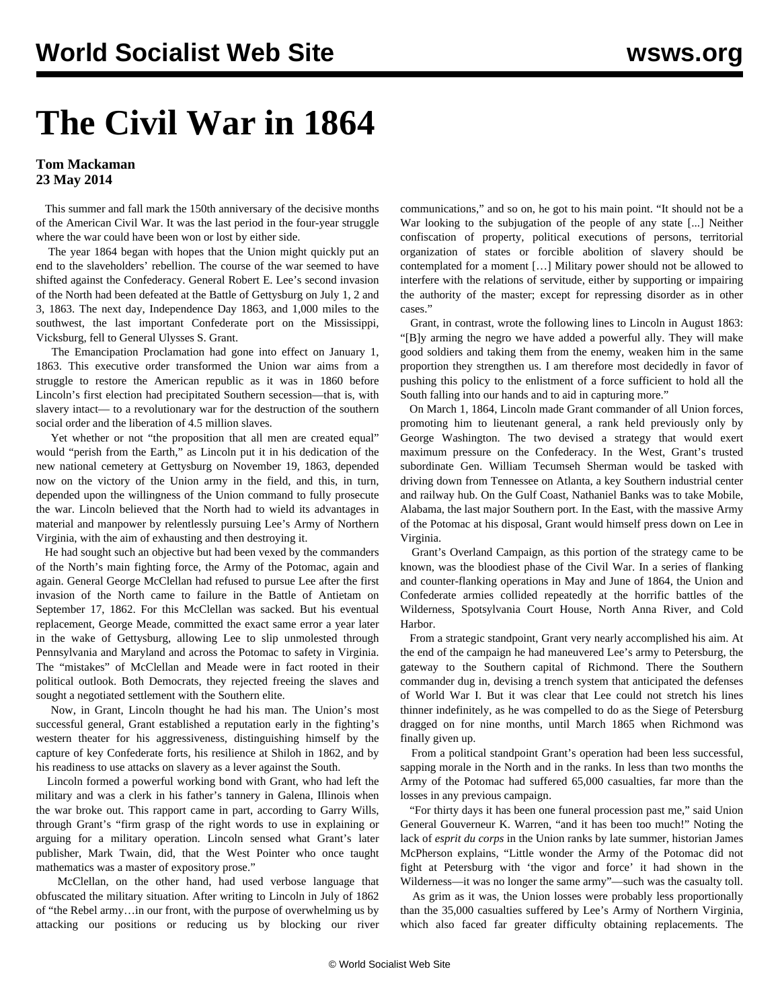## **The Civil War in 1864**

## **Tom Mackaman 23 May 2014**

 This summer and fall mark the 150th anniversary of the decisive months of the American Civil War. It was the last period in the four-year struggle where the war could have been won or lost by either side.

 The year 1864 began with hopes that the Union might quickly put an end to the slaveholders' rebellion. The course of the war seemed to have shifted against the Confederacy. General Robert E. Lee's second invasion of the North had been defeated at the Battle of Gettysburg on July 1, 2 and 3, 1863. The next day, Independence Day 1863, and 1,000 miles to the southwest, the last important Confederate port on the Mississippi, Vicksburg, fell to General Ulysses S. Grant.

 The Emancipation Proclamation had gone into effect on January 1, 1863. This executive order transformed the Union war aims from a struggle to restore the American republic as it was in 1860 before Lincoln's first election had precipitated Southern secession—that is, with slavery intact— to a revolutionary war for the destruction of the southern social order and the liberation of 4.5 million slaves.

 Yet whether or not "the proposition that all men are created equal" would "perish from the Earth," as Lincoln put it in his dedication of the new national cemetery at Gettysburg on November 19, 1863, depended now on the victory of the Union army in the field, and this, in turn, depended upon the willingness of the Union command to fully prosecute the war. Lincoln believed that the North had to wield its advantages in material and manpower by relentlessly pursuing Lee's Army of Northern Virginia, with the aim of exhausting and then destroying it.

 He had sought such an objective but had been vexed by the commanders of the North's main fighting force, the Army of the Potomac, again and again. General George McClellan had refused to pursue Lee after the first invasion of the North came to failure in the Battle of Antietam on September 17, 1862. For this McClellan was sacked. But his eventual replacement, George Meade, committed the exact same error a year later in the wake of Gettysburg, allowing Lee to slip unmolested through Pennsylvania and Maryland and across the Potomac to safety in Virginia. The "mistakes" of McClellan and Meade were in fact rooted in their political outlook. Both Democrats, they rejected freeing the slaves and sought a negotiated settlement with the Southern elite.

 Now, in Grant, Lincoln thought he had his man. The Union's most successful general, Grant established a reputation early in the fighting's western theater for his aggressiveness, distinguishing himself by the capture of key Confederate forts, his resilience at Shiloh in 1862, and by his readiness to use attacks on slavery as a lever against the South.

 Lincoln formed a powerful working bond with Grant, who had left the military and was a clerk in his father's tannery in Galena, Illinois when the war broke out. This rapport came in part, according to Garry Wills, through Grant's "firm grasp of the right words to use in explaining or arguing for a military operation. Lincoln sensed what Grant's later publisher, Mark Twain, did, that the West Pointer who once taught mathematics was a master of expository prose."

 McClellan, on the other hand, had used verbose language that obfuscated the military situation. After writing to Lincoln in July of 1862 of "the Rebel army…in our front, with the purpose of overwhelming us by attacking our positions or reducing us by blocking our river

communications," and so on, he got to his main point. "It should not be a War looking to the subjugation of the people of any state [...] Neither confiscation of property, political executions of persons, territorial organization of states or forcible abolition of slavery should be contemplated for a moment […] Military power should not be allowed to interfere with the relations of servitude, either by supporting or impairing the authority of the master; except for repressing disorder as in other cases."

 Grant, in contrast, wrote the following lines to Lincoln in August 1863: "[B]y arming the negro we have added a powerful ally. They will make good soldiers and taking them from the enemy, weaken him in the same proportion they strengthen us. I am therefore most decidedly in favor of pushing this policy to the enlistment of a force sufficient to hold all the South falling into our hands and to aid in capturing more."

 On March 1, 1864, Lincoln made Grant commander of all Union forces, promoting him to lieutenant general, a rank held previously only by George Washington. The two devised a strategy that would exert maximum pressure on the Confederacy. In the West, Grant's trusted subordinate Gen. William Tecumseh Sherman would be tasked with driving down from Tennessee on Atlanta, a key Southern industrial center and railway hub. On the Gulf Coast, Nathaniel Banks was to take Mobile, Alabama, the last major Southern port. In the East, with the massive Army of the Potomac at his disposal, Grant would himself press down on Lee in Virginia.

 Grant's Overland Campaign, as this portion of the strategy came to be known, was the bloodiest phase of the Civil War. In a series of flanking and counter-flanking operations in May and June of 1864, the Union and Confederate armies collided repeatedly at the horrific battles of the Wilderness, Spotsylvania Court House, North Anna River, and Cold Harbor.

 From a strategic standpoint, Grant very nearly accomplished his aim. At the end of the campaign he had maneuvered Lee's army to Petersburg, the gateway to the Southern capital of Richmond. There the Southern commander dug in, devising a trench system that anticipated the defenses of World War I. But it was clear that Lee could not stretch his lines thinner indefinitely, as he was compelled to do as the Siege of Petersburg dragged on for nine months, until March 1865 when Richmond was finally given up.

 From a political standpoint Grant's operation had been less successful, sapping morale in the North and in the ranks. In less than two months the Army of the Potomac had suffered 65,000 casualties, far more than the losses in any previous campaign.

 "For thirty days it has been one funeral procession past me," said Union General Gouverneur K. Warren, "and it has been too much!" Noting the lack of *esprit du corps* in the Union ranks by late summer, historian James McPherson explains, "Little wonder the Army of the Potomac did not fight at Petersburg with 'the vigor and force' it had shown in the Wilderness—it was no longer the same army"—such was the casualty toll.

 As grim as it was, the Union losses were probably less proportionally than the 35,000 casualties suffered by Lee's Army of Northern Virginia, which also faced far greater difficulty obtaining replacements. The